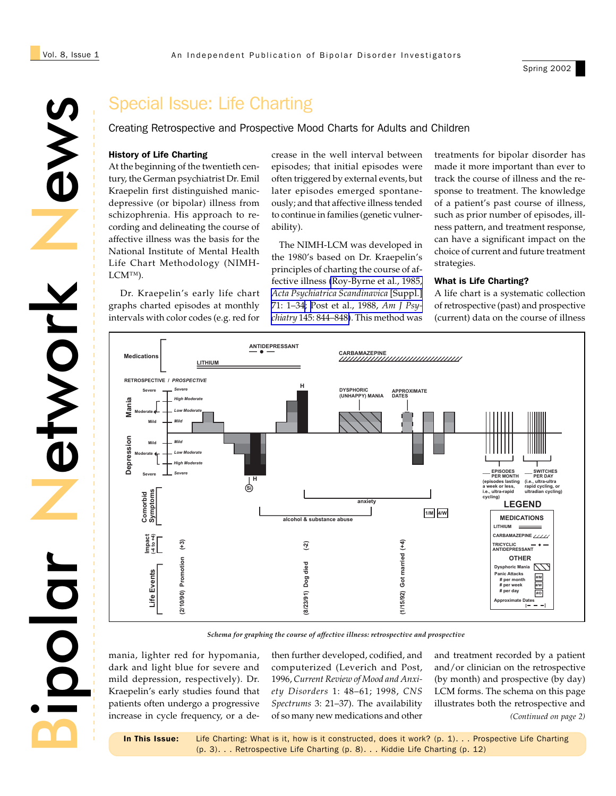Spring 2002



# Special Issue: Life Charting

Creating Retrospective and Prospective Mood Charts for Adults and Children

#### History of Life Charting

At the beginning of the twentieth century, the German psychiatrist Dr. Emil Kraepelin first distinguished manicdepressive (or bipolar) illness from schizophrenia. His approach to recording and delineating the course of affective illness was the basis for the National Institute of Mental Health Life Chart Methodology (NIMH-LCM™).

 Dr. Kraepelin's early life chart graphs charted episodes at monthly intervals with color codes (e.g. red for

crease in the well interval between episodes; that initial episodes were often triggered by external events, but later episodes emerged spontaneously; and that affective illness tended to continue in families (genetic vulnerability).

 The NIMH-LCM was developed in the 1980's based on Dr. Kraepelin's principles of charting the course of affective illness [\(Roy-Byrne et al., 1985,](http://www.ncbi.nlm.nih.gov/entrez/query.fcgi?cmd=Retrieve&db=PubMed&list_uids=3861072&dopt=Abstract) *[Acta Psychiatrica Scandinavica](http://www.ncbi.nlm.nih.gov/entrez/query.fcgi?cmd=Retrieve&db=PubMed&list_uids=3861072&dopt=Abstract)* [Suppl.] [71: 1–34](http://www.ncbi.nlm.nih.gov/entrez/query.fcgi?cmd=Retrieve&db=PubMed&list_uids=3861072&dopt=Abstract); [Post et al., 1988,](http://www.ncbi.nlm.nih.gov/entrez/query.fcgi?cmd=Retrieve&db=PubMed&list_uids=3381929&dopt=Abstract) *Am J Psychiatry* [145: 844–848\)](http://www.ncbi.nlm.nih.gov/entrez/query.fcgi?cmd=Retrieve&db=PubMed&list_uids=3381929&dopt=Abstract). This method was

treatments for bipolar disorder has made it more important than ever to track the course of illness and the response to treatment. The knowledge of a patient's past course of illness, such as prior number of episodes, illness pattern, and treatment response, can have a significant impact on the choice of current and future treatment strategies.

### What is Life Charting?

A life chart is a systematic collection of retrospective (past) and prospective (current) data on the course of illness



*Schema for graphing the course of affective illness: retrospective and prospective*

mania, lighter red for hypomania, dark and light blue for severe and mild depression, respectively). Dr. Kraepelin's early studies found that patients often undergo a progressive increase in cycle frequency, or a de-

then further developed, codified, and computerized (Leverich and Post, 1996, *Current Review of Mood and Anxiety Disorders* 1: 48–61; 1998, *CNS Spectrums* 3: 21–37). The availability of so many new medications and other

*(Continued on page 2)* and treatment recorded by a patient and/or clinician on the retrospective (by month) and prospective (by day) LCM forms. The schema on this page illustrates both the retrospective and

In This Issue: Life Charting: What is it, how is it constructed, does it work? (p. 1)... Prospective Life Charting (p. 3). . . Retrospective Life Charting (p. 8). . . Kiddie Life Charting (p. 12)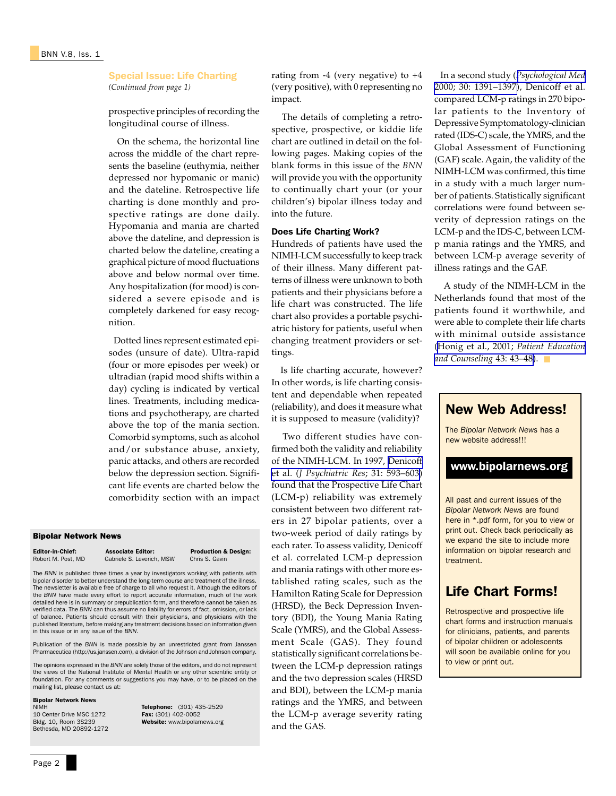#### Special Issue: Life Charting *(Continued from page 1)*

prospective principles of recording the longitudinal course of illness.

 On the schema, the horizontal line across the middle of the chart represents the baseline (euthymia, neither depressed nor hypomanic or manic) and the dateline. Retrospective life charting is done monthly and prospective ratings are done daily. Hypomania and mania are charted above the dateline, and depression is charted below the dateline, creating a graphical picture of mood fluctuations above and below normal over time. Any hospitalization (for mood) is considered a severe episode and is completely darkened for easy recognition.

 Dotted lines represent estimated episodes (unsure of date). Ultra-rapid (four or more episodes per week) or ultradian (rapid mood shifts within a day) cycling is indicated by vertical lines. Treatments, including medications and psychotherapy, are charted above the top of the mania section. Comorbid symptoms, such as alcohol and/or substance abuse, anxiety, panic attacks, and others are recorded below the depression section. Significant life events are charted below the comorbidity section with an impact

#### Bipolar Network News

**Editor-in-Chief:** Associate Editor: Production & Design:<br>
Robert M. Post. MD Gabriele S. Leverich, MSW Chris S. Gavin Gabriele S. Leverich, MSW

The *BNN* is published three times a year by investigators working with patients with bipolar disorder to better understand the long-term course and treatment of the illness. The newsletter is available free of charge to all who request it. Although the editors of the *BNN* have made every effort to report accurate information, much of the work detailed here is in summary or prepublication form, and therefore cannot be taken as verified data. The *BNN* can thus assume no liability for errors of fact, omission, or lack of balance. Patients should consult with their physicians, and physicians with the published literature, before making any treatment decisions based on information given in this issue or in any issue of the *BNN*.

Publication of the *BNN* is made possible by an unrestricted grant from Janssen Pharmaceutica (http://us.janssen.com), a division of the Johnson and Johnson company.

The opinions expressed in the *BNN* are solely those of the editors, and do not represent the views of the National Institute of Mental Health or any other scientific entity or foundation. For any comments or suggestions you may have, or to be placed on the mailing list, please contact us at:

## **Bipolar Network News**<br>NIMH

10 Center Drive MSC 1272<br>Bldg. 10. Room 3S239 Bethesda, MD 20892-1272 Telephone: (301) 435-2529<br>Fax: (301) 402-0052 Website: www.bipolarnews.org rating from  $-4$  (very negative) to  $+4$ (very positive), with 0 representing no impact.

 The details of completing a retrospective, prospective, or kiddie life chart are outlined in detail on the following pages. Making copies of the blank forms in this issue of the *BNN* will provide you with the opportunity to continually chart your (or your children's) bipolar illness today and into the future.

#### Does Life Charting Work?

Hundreds of patients have used the NIMH-LCM successfully to keep track of their illness. Many different patterns of illness were unknown to both patients and their physicians before a life chart was constructed. The life chart also provides a portable psychiatric history for patients, useful when changing treatment providers or settings.

 Is life charting accurate, however? In other words, is life charting consistent and dependable when repeated (reliability), and does it measure what it is supposed to measure (validity)?

 Two different studies have confirmed both the validity and reliability of the NIMH-LCM. In 1997, [Denicoff](http://www.ncbi.nlm.nih.gov/entrez/query.fcgi?cmd=Retrieve&db=PubMed&list_uids=9368200&dopt=Abstract) et al. (*[J Psychiatric Res](http://www.ncbi.nlm.nih.gov/entrez/query.fcgi?cmd=Retrieve&db=PubMed&list_uids=9368200&dopt=Abstract)*; 31: 593–603) found that the Prospective Life Chart (LCM-p) reliability was extremely consistent between two different raters in 27 bipolar patients, over a two-week period of daily ratings by each rater. To assess validity, Denicoff et al. correlated LCM-p depression and mania ratings with other more established rating scales, such as the Hamilton Rating Scale for Depression (HRSD), the Beck Depression Inventory (BDI), the Young Mania Rating Scale (YMRS), and the Global Assessment Scale (GAS). They found statistically significant correlations between the LCM-p depression ratings and the two depression scales (HRSD and BDI), between the LCM-p mania ratings and the YMRS, and between the LCM-p average severity rating and the GAS.

 In a second study (*[Psychological Med](http://www.ncbi.nlm.nih.gov/entrez/query.fcgi?cmd=Retrieve&db=PubMed&list_uids=11097079&dopt=Abstract)* [2000; 30: 1391–1397\)](http://www.ncbi.nlm.nih.gov/entrez/query.fcgi?cmd=Retrieve&db=PubMed&list_uids=11097079&dopt=Abstract), Denicoff et al. compared LCM-p ratings in 270 bipolar patients to the Inventory of Depressive Symptomatology-clinician rated (IDS-C) scale, the YMRS, and the Global Assessment of Functioning (GAF) scale. Again, the validity of the NIMH-LCM was confirmed, this time in a study with a much larger number of patients. Statistically significant correlations were found between severity of depression ratings on the LCM-p and the IDS-C, between LCMp mania ratings and the YMRS, and between LCM-p average severity of illness ratings and the GAF.

 A study of the NIMH-LCM in the Netherlands found that most of the patients found it worthwhile, and were able to complete their life charts with minimal outside assistance ([Honig et al., 2001;](http://www.ncbi.nlm.nih.gov/entrez/query.fcgi?cmd=Retrieve&db=PubMed&list_uids=11311838&dopt=Abstract) *Patient Education [and Counseling](http://www.ncbi.nlm.nih.gov/entrez/query.fcgi?cmd=Retrieve&db=PubMed&list_uids=11311838&dopt=Abstract)* 43: 43–48). ■



Retrospective and prospective life chart forms and instruction manuals for clinicians, patients, and parents of bipolar children or adolescents will soon be available online for you to view or print out.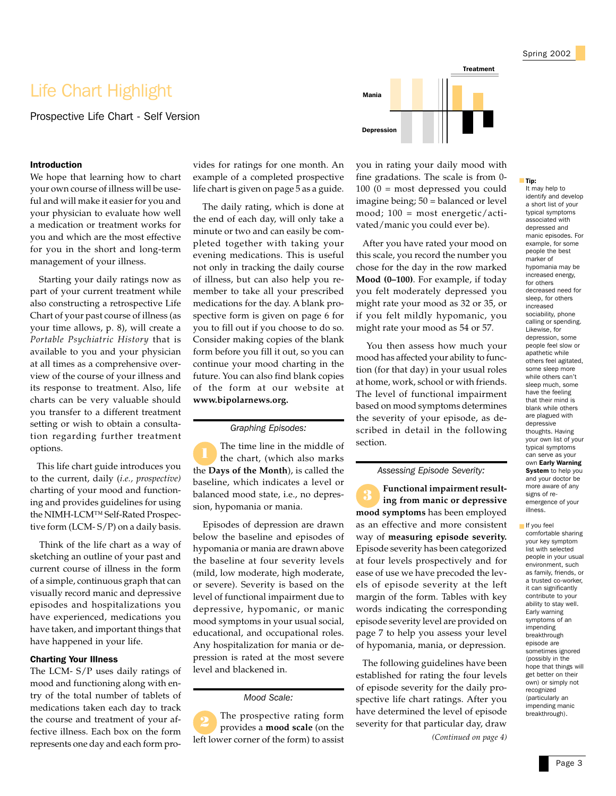# Life Chart Highlight

Prospective Life Chart - Self Version

#### Introduction

We hope that learning how to chart your own course of illness will be useful and will make it easier for you and your physician to evaluate how well a medication or treatment works for you and which are the most effective for you in the short and long-term management of your illness.

 Starting your daily ratings now as part of your current treatment while also constructing a retrospective Life Chart of your past course of illness (as your time allows, p. 8), will create a *Portable Psychiatric History* that is available to you and your physician at all times as a comprehensive overview of the course of your illness and its response to treatment. Also, life charts can be very valuable should you transfer to a different treatment setting or wish to obtain a consultation regarding further treatment options.

 This life chart guide introduces you to the current, daily (*i.e., prospective)* charting of your mood and functioning and provides guidelines for using the NIMH-LCM™ Self-Rated Prospective form (LCM- S/P) on a daily basis.

 Think of the life chart as a way of sketching an outline of your past and current course of illness in the form of a simple, continuous graph that can visually record manic and depressive episodes and hospitalizations you have experienced, medications you have taken, and important things that have happened in your life.

#### Charting Your Illness

The LCM- S/P uses daily ratings of mood and functioning along with entry of the total number of tablets of medications taken each day to track the course and treatment of your affective illness. Each box on the form represents one day and each form provides for ratings for one month. An example of a completed prospective life chart is given on page 5 as a guide.

 The daily rating, which is done at the end of each day, will only take a minute or two and can easily be completed together with taking your evening medications. This is useful not only in tracking the daily course of illness, but can also help you remember to take all your prescribed medications for the day. A blank prospective form is given on page 6 for you to fill out if you choose to do so. Consider making copies of the blank form before you fill it out, so you can continue your mood charting in the future. You can also find blank copies of the form at our website at **www.bipolarnews.org.**

#### *Graphing Episodes:*

The time line in the middle of the chart, (which also marks the **Days of the Month**), is called the baseline, which indicates a level or balanced mood state, i.e., no depression, hypomania or mania.

 Episodes of depression are drawn below the baseline and episodes of hypomania or mania are drawn above the baseline at four severity levels (mild, low moderate, high moderate, or severe). Severity is based on the level of functional impairment due to depressive, hypomanic, or manic mood symptoms in your usual social, educational, and occupational roles. Any hospitalization for mania or depression is rated at the most severe level and blackened in.

*Mood Scale:*

The prospective rating form provides a **mood scale** (on the left lower corner of the form) to assist 2



you in rating your daily mood with fine gradations. The scale is from 0- 100 (0 = most depressed you could imagine being; 50 = balanced or level mood; 100 = most energetic/activated/manic you could ever be).

 After you have rated your mood on this scale, you record the number you chose for the day in the row marked **Mood (0–100)**. For example, if today you felt moderately depressed you might rate your mood as 32 or 35, or if you felt mildly hypomanic, you might rate your mood as 54 or 57.

 You then assess how much your mood has affected your ability to function (for that day) in your usual roles at home, work, school or with friends. The level of functional impairment based on mood symptoms determines the severity of your episode, as described in detail in the following section.

#### *Assessing Episode Severity:*

**Functional impairment resulting from manic or depressive mood symptoms** has been employed as an effective and more consistent way of **measuring episode severity.** Episode severity has been categorized at four levels prospectively and for ease of use we have precoded the levels of episode severity at the left margin of the form. Tables with key words indicating the corresponding episode severity level are provided on page 7 to help you assess your level of hypomania, mania, or depression. 3

 The following guidelines have been established for rating the four levels of episode severity for the daily prospective life chart ratings. After you have determined the level of episode severity for that particular day, draw

*(Continued on page 4)*

#### ■ Tip:

It may help to identify and develop a short list of your typical symptoms associated with depressed and manic episodes. For example, for some people the best marker of hypomania may be increased energy, for others decreased need for sleep, for others increased sociability, phone calling or spending. Likewise, for depression, some people feel slow or apathetic while others feel agitated, some sleep more while others can't sleep much, some have the feeling that their mind is blank while others are plagued with depressive thoughts. Having your own list of your typical symptoms can serve as your own Early Warning System to help you and your doctor be more aware of any signs of reemergence of your illness.

■ If you feel comfortable sharing your key symptom list with selected people in your usual environment, such as family, friends, or a trusted co-worker, it can significantly contribute to your ability to stay well. Early warning symptoms of an impending breakthrough episode are sometimes ignored (possibly in the hope that things will get better on their own) or simply not recognized (particularly an impending manic breakthrough).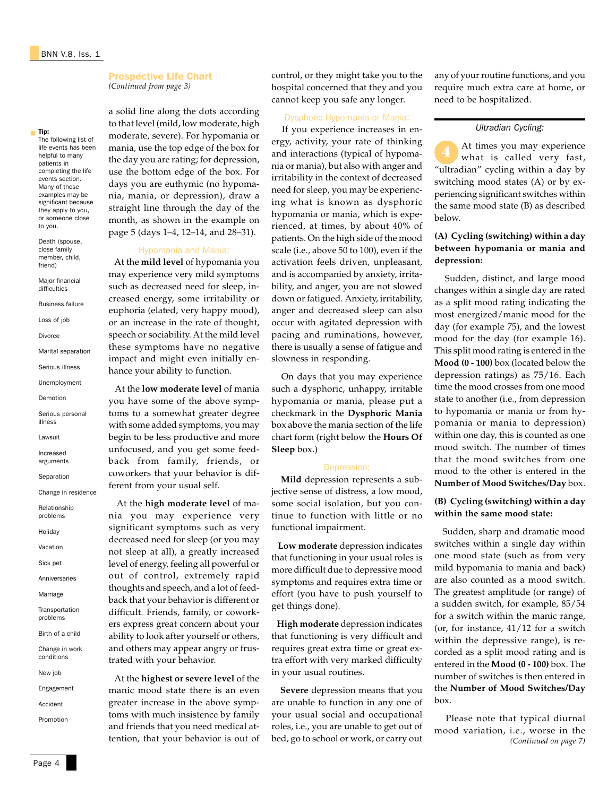The following list of life events has been helpful to many patients in completing the life events section. Many of these examples may be significant because they apply to you, or someone close to you. Death (spouse, close family member, child, friend) Major financial difficulties Business failure Loss of job Divorce

Marital separation Serious illness Unemployment Demotion Serious personal illness Lawsuit Increased arguments Separation Change in residence Relationship problems Holiday Vacation Sick pet Anniversaries Marriage Transportation problems Birth of a child Change in work conditions New job Engagement Accident Promotion

Tip:

■

#### Prospective Life Chart *(Continued from page 3)*

a solid line along the dots according to that level (mild, low moderate, high moderate, severe). For hypomania or mania, use the top edge of the box for the day you are rating; for depression, use the bottom edge of the box. For days you are euthymic (no hypomania, mania, or depression), draw a straight line through the day of the month, as shown in the example on page 5 (days 1–4, 12–14, and 28–31).

#### Hypomania and Mania:

 At the **mild level** of hypomania you may experience very mild symptoms such as decreased need for sleep, increased energy, some irritability or euphoria (elated, very happy mood), or an increase in the rate of thought, speech or sociability. At the mild level these symptoms have no negative impact and might even initially enhance your ability to function.

 At the **low moderate level** of mania you have some of the above symptoms to a somewhat greater degree with some added symptoms, you may begin to be less productive and more unfocused, and you get some feedback from family, friends, or coworkers that your behavior is different from your usual self.

 At the **high moderate level** of mania you may experience very significant symptoms such as very decreased need for sleep (or you may not sleep at all), a greatly increased level of energy, feeling all powerful or out of control, extremely rapid thoughts and speech, and a lot of feedback that your behavior is different or difficult. Friends, family, or coworkers express great concern about your ability to look after yourself or others, and others may appear angry or frustrated with your behavior.

 At the **highest or severe level** of the manic mood state there is an even greater increase in the above symptoms with much insistence by family and friends that you need medical attention, that your behavior is out of control, or they might take you to the hospital concerned that they and you cannot keep you safe any longer.

## Dysphoric Hypomania or Mania:

 If you experience increases in energy, activity, your rate of thinking and interactions (typical of hypomania or mania), but also with anger and irritability in the context of decreased need for sleep, you may be experiencing what is known as dysphoric hypomania or mania, which is experienced, at times, by about 40% of patients. On the high side of the mood scale (i.e., above 50 to 100), even if the activation feels driven, unpleasant, and is accompanied by anxiety, irritability, and anger, you are not slowed down or fatigued. Anxiety, irritability, anger and decreased sleep can also occur with agitated depression with pacing and ruminations, however, there is usually a sense of fatigue and slowness in responding.

 On days that you may experience such a dysphoric, unhappy, irritable hypomania or mania, please put a checkmark in the **Dysphoric Mania** box above the mania section of the life chart form (right below the **Hours Of Sleep** box**.**)

#### Depression:

 **Mild** depression represents a subjective sense of distress, a low mood, some social isolation, but you continue to function with little or no functional impairment.

 **Low moderate** depression indicates that functioning in your usual roles is more difficult due to depressive mood symptoms and requires extra time or effort (you have to push yourself to get things done).

 **High moderate** depression indicates that functioning is very difficult and requires great extra time or great extra effort with very marked difficulty in your usual routines.

 **Severe** depression means that you are unable to function in any one of your usual social and occupational roles, i.e., you are unable to get out of bed, go to school or work, or carry out any of your routine functions, and you require much extra care at home, or need to be hospitalized.

#### *Ultradian Cycling:*

At times you may experience what is called very fast, "ultradian" cycling within a day by switching mood states (A) or by experiencing significant switches within the same mood state (B) as described below.

## **(A) Cycling (switching) within a day between hypomania or mania and depression:**

 Sudden, distinct, and large mood changes within a single day are rated as a split mood rating indicating the most energized/manic mood for the day (for example 75), and the lowest mood for the day (for example 16). This split mood rating is entered in the **Mood (0 - 100)** box (located below the depression ratings) as 75/16. Each time the mood crosses from one mood state to another (i.e., from depression to hypomania or mania or from hypomania or mania to depression) within one day, this is counted as one mood switch. The number of times that the mood switches from one mood to the other is entered in the **Number of Mood Switches/Day** box.

## **(B) Cycling (switching) within a day within the same mood state:**

 Sudden, sharp and dramatic mood switches within a single day within one mood state (such as from very mild hypomania to mania and back) are also counted as a mood switch. The greatest amplitude (or range) of a sudden switch, for example, 85/54 for a switch within the manic range, (or, for instance, 41/12 for a switch within the depressive range), is recorded as a split mood rating and is entered in the **Mood (0 - 100)** box. The number of switches is then entered in the **Number of Mood Switches/Day** box.

 Please note that typical diurnal mood variation, i.e., worse in the *(Continued on page 7)*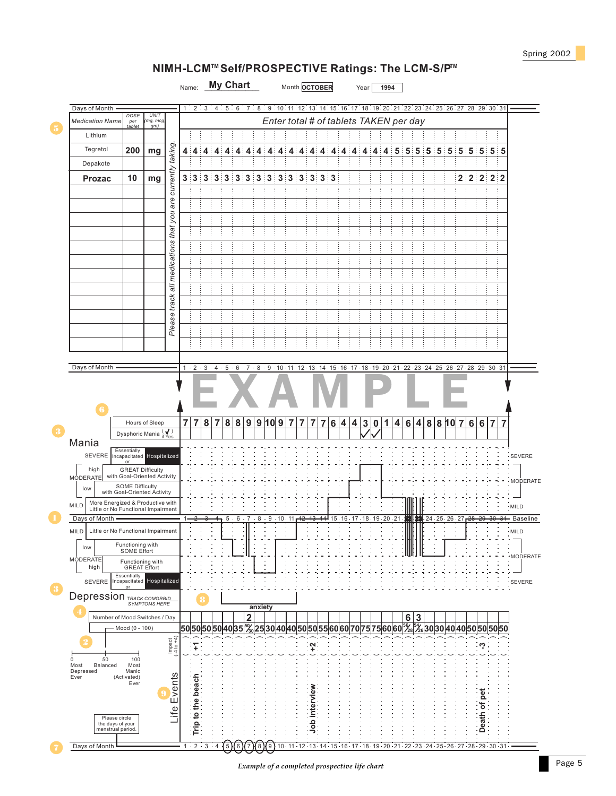## **NIMH-LCM<sup>™</sup> Self/PROSPECTIVE Ratings: The LCM-S/P<sup>™</sup>**



Days of Month

1 2 .3 .4 【5】(6)(7)(8)(9)10 · 11 · 12 · 13 · 14 · 15 · 16 · 17 · 18 · 19 · 20 · 21 · 22 · 23 · 24 · 25 · 26 · 27 · 28 · 29 · 30 · 31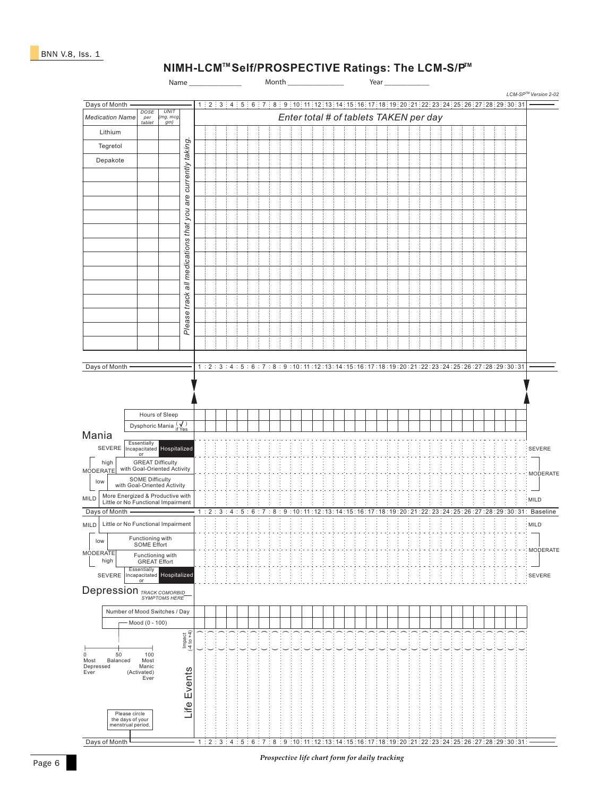## **NIMH-LCM<sup>™</sup>Self/PROSPECTIVE Ratings: The LCM-S/P<sup>™</sup>**

Name \_\_\_\_\_\_\_\_\_\_\_\_\_\_ Month \_\_\_\_\_\_\_\_\_\_\_\_\_\_\_ Year *LCM-SP Version 2-02 TM* Days of Month 1 2 3 4 5 6 7 8 9 10 11 12 13 14 15 16 17 18 19 20 21 22 23 24 25 26 27 28 29 30 31 *Medication Name*  $\begin{bmatrix} \cos E & \cos E \\ \cos E & \cos E \end{bmatrix}$  *Enter total # of tablets TAKEN per day UNIT (mg, mcg, gm) per tablet* Lithium taking. *Please track all medications that you are currently taking.* Tegretol Depakote you are currently all medications that Please track Days of Month - 1 2 3 4 5 6 7 8 9 10 11 12 13 14 15 16 17 18 19 20 21 22 23 24 25 26 27 28 29 30 31 Hours of Sleep Dysphoric Mania (✔) Mania Essentially Incapacitated Hospitalized SEVERE SEVERE or high GREAT Difficulty with Goal-Oriented Activity MODERATE MODERATE low SOME Difficulty with Goal-Oriented Activity MILD More Energized & Productive with Little or No Functional Impairment MILD Days of Month 2:3:4:5:6:7:8:9:10:11:12:13:14:15:16:17:18:19:20:21:22:23:24:25:26:27:28:29:30:31: Baseline 1 Little or No Functional Impairment MILD MILD low Functioning with SOME Effort MODERATE **MODERATE** Functioning with GREAT Effort high Essentially Incapacitated Hospitalized SEVERE SEVERE or Depression *TRACK COMORBID SYMPTOMS HERE* Number of Mood Switches / Day Mood (0 - 100) Impact (-4 to +4) (<br><br> ) (<br><br> ) (<br><br> ) (<br><br> ) ( ) (<br><br> ) ( ) (<br><br> ) ( ) (<br><br> ) ( ) (<br><br> ) (<br><br> ) ( ) (<br><br> ) ( ) (<br><br> ) (<br><br> ) ( ) (<br><br> ) ( ) (<br><br> ) ( ) (<br><br> ) ( ) (<br><br> ) (<br><br> ) (<br><br> ) (<br><br> ) ( ) (<br><br> ) 50 0 Most 100 Most Manic Balanced Depressed Life Events Life Events Ever (Activated) Ever Please circle the days of your menstrual period. Days of Month 1 : 2 : 3 : 4 : 5 : 6 : 7 : 8 : 9 :10 : 11 : 12 : 13 : 14 : 15 : 16 : 17 : 18 : 19 : 20 : 21 : 22 : 23 : 24 : 25 : 26 : 27 : 28 : 29 : 30 : 31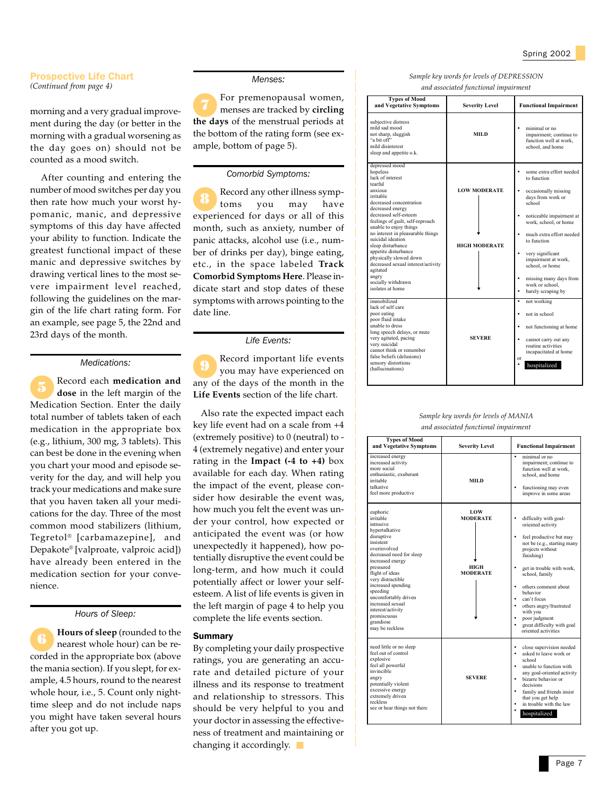#### Prospective Life Chart *(Continued from page 4)*

morning and a very gradual improvement during the day (or better in the morning with a gradual worsening as the day goes on) should not be counted as a mood switch.

 After counting and entering the number of mood switches per day you then rate how much your worst hypomanic, manic, and depressive symptoms of this day have affected your ability to function. Indicate the greatest functional impact of these manic and depressive switches by drawing vertical lines to the most severe impairment level reached, following the guidelines on the margin of the life chart rating form. For an example, see page 5, the 22nd and 23rd days of the month.

#### *Medications:*

Record each **medication and dose** in the left margin of the Medication Section. Enter the daily total number of tablets taken of each medication in the appropriate box (e.g., lithium, 300 mg, 3 tablets). This can best be done in the evening when you chart your mood and episode severity for the day, and will help you track your medications and make sure that you haven taken all your medications for the day. Three of the most common mood stabilizers (lithium, Tegretol® [carbamazepine], and Depakote® [valproate, valproic acid]) have already been entered in the medication section for your convenience.

#### *Hours of Sleep:*

**Hours of sleep** (rounded to the nearest whole hour) can be recorded in the appropriate box (above the mania section). If you slept, for example, 4.5 hours, round to the nearest whole hour, i.e., 5. Count only nighttime sleep and do not include naps you might have taken several hours after you got up.

#### *Menses:*

For premenopausal women, menses are tracked by **circling the days** of the menstrual periods at the bottom of the rating form (see example, bottom of page 5).

#### *Comorbid Symptoms:*

Record any other illness symptoms you may have experienced for days or all of this month, such as anxiety, number of panic attacks, alcohol use (i.e., number of drinks per day), binge eating, etc., in the space labeled **Track Comorbid Symptoms Here**. Please indicate start and stop dates of these symptoms with arrows pointing to the date line. 8

#### *Life Events:*

Record important life events you may have experienced on any of the days of the month in the **Life Events** section of the life chart.

 Also rate the expected impact each key life event had on a scale from +4 (extremely positive) to 0 (neutral) to - 4 (extremely negative) and enter your rating in the **Impact (-4 to +4)** box available for each day. When rating the impact of the event, please consider how desirable the event was, how much you felt the event was under your control, how expected or anticipated the event was (or how unexpectedly it happened), how potentially disruptive the event could be long-term, and how much it could potentially affect or lower your selfesteem. A list of life events is given in the left margin of page 4 to help you complete the life events section.

#### Summary

By completing your daily prospective ratings, you are generating an accurate and detailed picture of your illness and its response to treatment and relationship to stressors. This should be very helpful to you and your doctor in assessing the effectiveness of treatment and maintaining or changing it accordingly.

| Sample key words for levels of DEPRESSION |
|-------------------------------------------|
| and associated functional impairment      |

| <b>Types of Mood</b><br>and Vegetative Symptoms                                                                                                                                                                                                                                                                                                                                                                                                                | <b>Severity Level</b>                       | <b>Functional Impairment</b>                                                                                                                                                                                                                                                                                                                                                       |
|----------------------------------------------------------------------------------------------------------------------------------------------------------------------------------------------------------------------------------------------------------------------------------------------------------------------------------------------------------------------------------------------------------------------------------------------------------------|---------------------------------------------|------------------------------------------------------------------------------------------------------------------------------------------------------------------------------------------------------------------------------------------------------------------------------------------------------------------------------------------------------------------------------------|
| subjective distress<br>mild sad mood<br>not sharp, sluggish<br>"a hit off"<br>mild disinterest<br>sleep and appetite o.k.                                                                                                                                                                                                                                                                                                                                      | <b>MILD</b>                                 | minimal or no<br>٠<br>impairment: continue to<br>function well at work.<br>school, and home                                                                                                                                                                                                                                                                                        |
| depressed mood<br>hopeless<br>lack of interest<br>tearful<br>anxious<br>irritable<br>decreased concentration<br>decreased energy<br>decreased self-esteem<br>feelings of guilt, self-reproach<br>unable to enjoy things<br>no interest in pleasurable things<br>suicidal ideation.<br>sleep disturbance<br>appetite disturbance<br>physically slowed down<br>decreased sexual interest/activity<br>agitated<br>angry<br>socially withdrawn<br>isolates at home | <b>LOW MODERATE</b><br><b>HIGH MODERATE</b> | some extra effort needed<br>٠<br>to function<br>occasionally missing<br>٠<br>days from work or<br>school<br>noticeable impairment at<br>٠<br>work, school, or home<br>much extra effort needed<br>$\bullet$<br>to function<br>$\bullet$<br>very significant<br>impairment at work,<br>school, or home<br>missing many days from<br>٠<br>work or school,<br>barely scraping by<br>٠ |
| immobilized<br>lack of self care<br>poor eating<br>poor fluid intake<br>unable to dress<br>long speech delays, or mute<br>very agitated, pacing<br>very suicidal<br>cannot think or remember<br>false beliefs (delusions)<br>sensory distortions<br>(hallucinations)                                                                                                                                                                                           | <b>SEVERE</b>                               | not working<br>٠<br>not in school<br>٠<br>not functioning at home<br>٠<br>٠<br>cannot carry out any<br>routine activities<br>incapacitated at home<br>or<br>hospitalized                                                                                                                                                                                                           |

#### *Sample key words for levels of MANIA and associated functional impairment*

| <b>Types of Mood</b><br>and Vegetative Symptoms                                                                                                                                                                                                                                                                                                        | <b>Severity Level</b>                             | <b>Functional Impairment</b>                                                                                                                                                                                                                                                                                                                                            |
|--------------------------------------------------------------------------------------------------------------------------------------------------------------------------------------------------------------------------------------------------------------------------------------------------------------------------------------------------------|---------------------------------------------------|-------------------------------------------------------------------------------------------------------------------------------------------------------------------------------------------------------------------------------------------------------------------------------------------------------------------------------------------------------------------------|
| increased energy<br>increased activity<br>more social<br>enthusiastic, exuberant<br>irritable<br>talkative<br>feel more productive                                                                                                                                                                                                                     | <b>MILD</b>                                       | minimal or no<br>٠<br>impairment: continue to<br>function well at work,<br>school, and home<br>functioning may even<br>improve in some areas                                                                                                                                                                                                                            |
| euphoric<br>irritable<br>intrusive<br>hypertalkative<br>disruptive<br>insistent<br>overinvolved<br>decreased need for sleep<br>increased energy<br>pressured<br>flight of ideas<br>very distractible<br>increased spending<br>speeding<br>uncomfortably driven<br>increased sexual<br>interest/activity<br>promiscuous<br>grandiose<br>may be reckless | LOW<br><b>MODERATE</b><br>HIGH<br><b>MODERATE</b> | difficulty with goal-<br>oriented activity<br>feel productive but may<br>$\bullet$<br>not be (e.g., starting many<br>projects without<br>finishing)<br>get in trouble with work,<br>school, family<br>others comment about<br>٠<br>hehavior<br>can't focus<br>others angry/frustrated<br>with you<br>poor judgment<br>great difficulty with goal<br>oriented activities |
| need little or no sleep<br>feel out of control<br>explosive<br>feel all powerful<br>invincible<br>angry<br>potentially violent<br>excessive energy<br>extremely driven<br>reckless<br>see or hear things not there                                                                                                                                     | <b>SEVERE</b>                                     | close supervision needed<br>٠<br>asked to leave work or<br>٠<br>school<br>unable to function with<br>٠<br>any goal-oriented activity<br>bizarre behavior or<br>$\bullet$<br>decisions<br>family and friends insist<br>that you get help<br>in trouble with the law<br>hospitalized                                                                                      |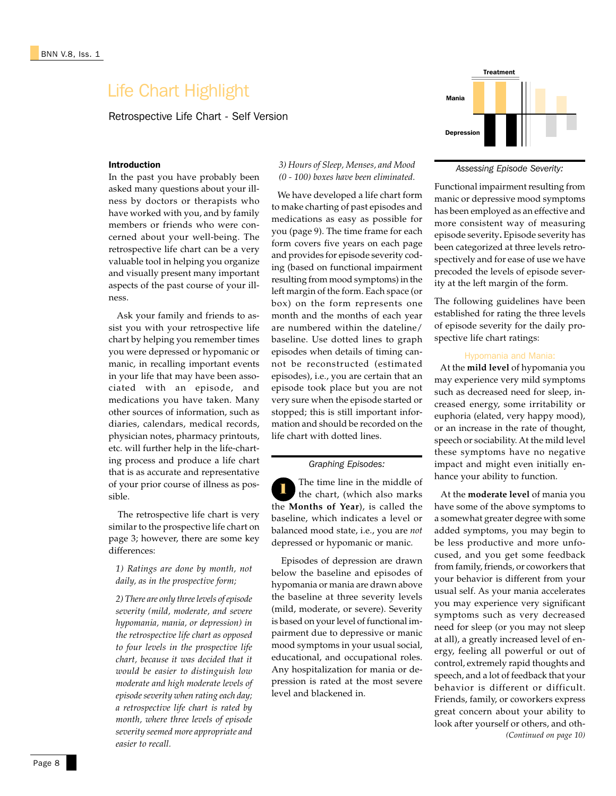## Life Chart Highlight

Retrospective Life Chart - Self Version

## Introduction

In the past you have probably been asked many questions about your illness by doctors or therapists who have worked with you, and by family members or friends who were concerned about your well-being. The retrospective life chart can be a very valuable tool in helping you organize and visually present many important aspects of the past course of your illness.

 Ask your family and friends to assist you with your retrospective life chart by helping you remember times you were depressed or hypomanic or manic, in recalling important events in your life that may have been associated with an episode, and medications you have taken. Many other sources of information, such as diaries, calendars, medical records, physician notes, pharmacy printouts, etc. will further help in the life-charting process and produce a life chart that is as accurate and representative of your prior course of illness as possible.

 The retrospective life chart is very similar to the prospective life chart on page 3; however, there are some key differences:

*1) Ratings are done by month, not daily, as in the prospective form;*

*2) There are only three levels of episode severity (mild, moderate, and severe hypomania, mania, or depression) in the retrospective life chart as opposed to four levels in the prospective life chart, because it was decided that it would be easier to distinguish low moderate and high moderate levels of episode severity when rating each day; a retrospective life chart is rated by month, where three levels of episode severity seemed more appropriate and easier to recall.*

Mania Depression

Treatment

*3) Hours of Sleep, Menses, and Mood (0 - 100) boxes have been eliminated.* We have developed a life chart form to make charting of past episodes and medications as easy as possible for you (page 9). The time frame for each form covers five years on each page and provides for episode severity coding (based on functional impairment resulting from mood symptoms) in the left margin of the form. Each space (or box) on the form represents one month and the months of each year are numbered within the dateline/ baseline. Use dotted lines to graph episodes when details of timing cannot be reconstructed (estimated episodes), i.e., you are certain that an episode took place but you are not very sure when the episode started or stopped; this is still important information and should be recorded on the

life chart with dotted lines.

1

level and blackened in.

*Graphing Episodes:*

The time line in the middle of the chart, (which also marks the **Months of Year**), is called the baseline, which indicates a level or balanced mood state, i.e., you are *not* depressed or hypomanic or manic. Episodes of depression are drawn below the baseline and episodes of hypomania or mania are drawn above the baseline at three severity levels (mild, moderate, or severe). Severity is based on your level of functional impairment due to depressive or manic mood symptoms in your usual social, educational, and occupational roles. Any hospitalization for mania or depression is rated at the most severe

#### *Assessing Episode Severity:*

Functional impairment resulting from manic or depressive mood symptoms has been employed as an effective and more consistent way of measuring episode severity**.** Episode severity has been categorized at three levels retrospectively and for ease of use we have precoded the levels of episode severity at the left margin of the form.

The following guidelines have been established for rating the three levels of episode severity for the daily prospective life chart ratings:

### Hypomania and Mania:

 At the **mild level** of hypomania you may experience very mild symptoms such as decreased need for sleep, increased energy, some irritability or euphoria (elated, very happy mood), or an increase in the rate of thought, speech or sociability. At the mild level these symptoms have no negative impact and might even initially enhance your ability to function.

*(Continued on page 10)* At the **moderate level** of mania you have some of the above symptoms to a somewhat greater degree with some added symptoms, you may begin to be less productive and more unfocused, and you get some feedback from family, friends, or coworkers that your behavior is different from your usual self. As your mania accelerates you may experience very significant symptoms such as very decreased need for sleep (or you may not sleep at all), a greatly increased level of energy, feeling all powerful or out of control, extremely rapid thoughts and speech, and a lot of feedback that your behavior is different or difficult. Friends, family, or coworkers express great concern about your ability to look after yourself or others, and oth-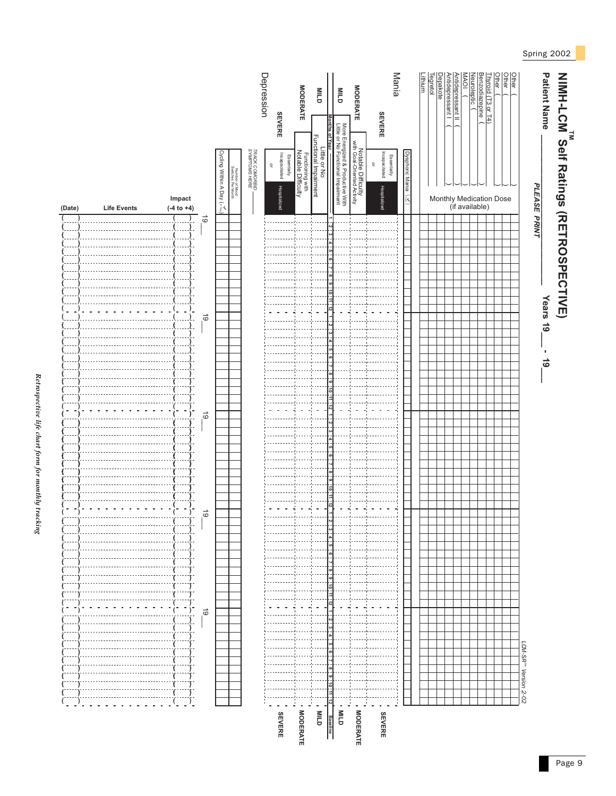

Retrospective life chart form for monthly tracking *Retrospective life chart form for monthly tracking*

Page 9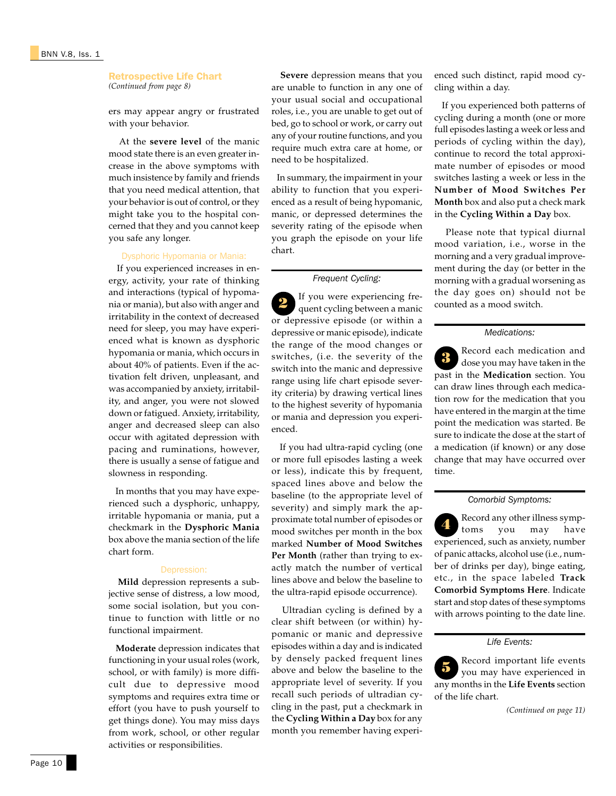#### Retrospective Life Chart *(Continued from page 8)*

ers may appear angry or frustrated with your behavior.

 At the **severe level** of the manic mood state there is an even greater increase in the above symptoms with much insistence by family and friends that you need medical attention, that your behavior is out of control, or they might take you to the hospital concerned that they and you cannot keep you safe any longer.

#### Dysphoric Hypomania or Mania:

 If you experienced increases in energy, activity, your rate of thinking and interactions (typical of hypomania or mania), but also with anger and irritability in the context of decreased need for sleep, you may have experienced what is known as dysphoric hypomania or mania, which occurs in about 40% of patients. Even if the activation felt driven, unpleasant, and was accompanied by anxiety, irritability, and anger, you were not slowed down or fatigued. Anxiety, irritability, anger and decreased sleep can also occur with agitated depression with pacing and ruminations, however, there is usually a sense of fatigue and slowness in responding.

 In months that you may have experienced such a dysphoric, unhappy, irritable hypomania or mania, put a checkmark in the **Dysphoric Mania** box above the mania section of the life chart form.

#### Depression:

 **Mild** depression represents a subjective sense of distress, a low mood, some social isolation, but you continue to function with little or no functional impairment.

 **Moderate** depression indicates that functioning in your usual roles (work, school, or with family) is more difficult due to depressive mood symptoms and requires extra time or effort (you have to push yourself to get things done). You may miss days from work, school, or other regular activities or responsibilities.

 **Severe** depression means that you are unable to function in any one of your usual social and occupational roles, i.e., you are unable to get out of bed, go to school or work, or carry out any of your routine functions, and you require much extra care at home, or need to be hospitalized.

In summary, the impairment in your ability to function that you experienced as a result of being hypomanic, manic, or depressed determines the severity rating of the episode when you graph the episode on your life chart.

#### *Frequent Cycling:*

If you were experiencing frequent cycling between a manic or depressive episode (or within a depressive or manic episode), indicate the range of the mood changes or switches, (i.e. the severity of the switch into the manic and depressive range using life chart episode severity criteria) by drawing vertical lines to the highest severity of hypomania or mania and depression you experienced. 2

 If you had ultra-rapid cycling (one or more full episodes lasting a week or less), indicate this by frequent, spaced lines above and below the baseline (to the appropriate level of severity) and simply mark the approximate total number of episodes or mood switches per month in the box marked **Number of Mood Switches Per Month** (rather than trying to exactly match the number of vertical lines above and below the baseline to the ultra-rapid episode occurrence).

 Ultradian cycling is defined by a clear shift between (or within) hypomanic or manic and depressive episodes within a day and is indicated by densely packed frequent lines above and below the baseline to the appropriate level of severity. If you recall such periods of ultradian cycling in the past, put a checkmark in the **Cycling Within a Day** box for any month you remember having experienced such distinct, rapid mood cycling within a day.

 If you experienced both patterns of cycling during a month (one or more full episodes lasting a week or less and periods of cycling within the day), continue to record the total approximate number of episodes or mood switches lasting a week or less in the **Number of Mood Switches Per Month** box and also put a check mark in the **Cycling Within a Day** box.

 Please note that typical diurnal mood variation, i.e., worse in the morning and a very gradual improvement during the day (or better in the morning with a gradual worsening as the day goes on) should not be counted as a mood switch.

### *Medications:*

Record each medication and dose you may have taken in the past in the **Medication** section. You can draw lines through each medication row for the medication that you have entered in the margin at the time point the medication was started. Be sure to indicate the dose at the start of a medication (if known) or any dose change that may have occurred over time. 3

#### *Comorbid Symptoms:*

Record any other illness symptoms you may have experienced, such as anxiety, number of panic attacks, alcohol use (i.e., number of drinks per day), binge eating, etc., in the space labeled **Track Comorbid Symptoms Here**. Indicate start and stop dates of these symptoms with arrows pointing to the date line. 4

#### *Life Events:*

5 Record important life events you may have experienced in any months in the **Life Events** section of the life chart.

*(Continued on page 11)*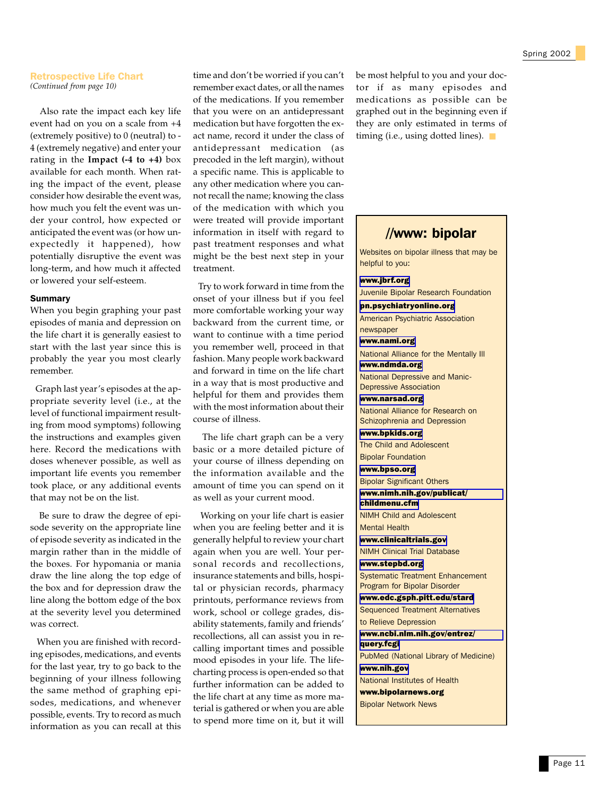#### Retrospective Life Chart *(Continued from page 10)*

 Also rate the impact each key life event had on you on a scale from +4 (extremely positive) to  $0$  (neutral) to -4 (extremely negative) and enter your rating in the **Impact (-4 to +4)** box available for each month. When rating the impact of the event, please consider how desirable the event was, how much you felt the event was under your control, how expected or anticipated the event was (or how unexpectedly it happened), how potentially disruptive the event was long-term, and how much it affected or lowered your self-esteem.

#### Summary

When you begin graphing your past episodes of mania and depression on the life chart it is generally easiest to start with the last year since this is probably the year you most clearly remember.

 Graph last year's episodes at the appropriate severity level (i.e., at the level of functional impairment resulting from mood symptoms) following the instructions and examples given here. Record the medications with doses whenever possible, as well as important life events you remember took place, or any additional events that may not be on the list.

Be sure to draw the degree of episode severity on the appropriate line of episode severity as indicated in the margin rather than in the middle of the boxes. For hypomania or mania draw the line along the top edge of the box and for depression draw the line along the bottom edge of the box at the severity level you determined was correct.

When you are finished with recording episodes, medications, and events for the last year, try to go back to the beginning of your illness following the same method of graphing episodes, medications, and whenever possible, events. Try to record as much information as you can recall at this

time and don't be worried if you can't remember exact dates, or all the names of the medications. If you remember that you were on an antidepressant medication but have forgotten the exact name, record it under the class of antidepressant medication (as precoded in the left margin), without a specific name. This is applicable to any other medication where you cannot recall the name; knowing the class of the medication with which you were treated will provide important information in itself with regard to past treatment responses and what might be the best next step in your treatment.

 Try to work forward in time from the onset of your illness but if you feel more comfortable working your way backward from the current time, or want to continue with a time period you remember well, proceed in that fashion. Many people work backward and forward in time on the life chart in a way that is most productive and helpful for them and provides them with the most information about their course of illness.

 The life chart graph can be a very basic or a more detailed picture of your course of illness depending on the information available and the amount of time you can spend on it as well as your current mood.

 Working on your life chart is easier when you are feeling better and it is generally helpful to review your chart again when you are well. Your personal records and recollections, insurance statements and bills, hospital or physician records, pharmacy printouts, performance reviews from work, school or college grades, disability statements, family and friends' recollections, all can assist you in recalling important times and possible mood episodes in your life. The lifecharting process is open-ended so that further information can be added to the life chart at any time as more material is gathered or when you are able to spend more time on it, but it will

be most helpful to you and your doctor if as many episodes and medications as possible can be graphed out in the beginning even if they are only estimated in terms of timing (i.e., using dotted lines). ■

## //www: bipolar

Websites on bipolar illness that may be helpful to you:

[www.jbrf.org](http://www.jbrf.org) Juvenile Bipolar Research Foundation

[pn.psychiatryonline.org](http://pn.psychiatryonline.org) American Psychiatric Association newspaper

[www.nami.org](http://www.nami.org) National Alliance for the Mentally Ill

[www.ndmda.org](http://www.ndmda.org) National Depressive and Manic-Depressive Association

[www.narsad.org](http://www.narsad.org) National Alliance for Research on

Schizophrenia and Depression [www.bpkids.org](http://www.bpkids.org) The Child and Adolescent

Bipolar Foundation [www.bpso.org](http://www.bpso.org) Bipolar Significant Others

[www.nimh.nih.gov/publicat/](http://www.nimh.nih.gov/publicat/childmenu.cfm)

[childmenu.cfm](http://www.nimh.nih.gov/publicat/childmenu.cfm) NIMH Child and Adolescent

Mental Health

[www.clinicaltrials.gov](http://www.clinicaltrials.gov) NIMH Clinical Trial Database

[www.stepbd.org](http://www.stepbd.org) Systematic Treatment Enhancement Program for Bipolar Disorder

[www.edc.gsph.pitt.edu/stard](http://www.edc.gsph.pitt.edu/stard/) Sequenced Treatment Alternatives to Relieve Depression [www.ncbi.nlm.nih.gov/entrez/](http://www.ncbi.nlm.nih.gov/entrez/query.fcgi) [query.fcgi](http://www.ncbi.nlm.nih.gov/entrez/query.fcgi) PubMed (National Library of Medicine) [www.nih.gov](http://www.nih.gov) National Institutes of Health www.bipolarnews.org

Bipolar Network News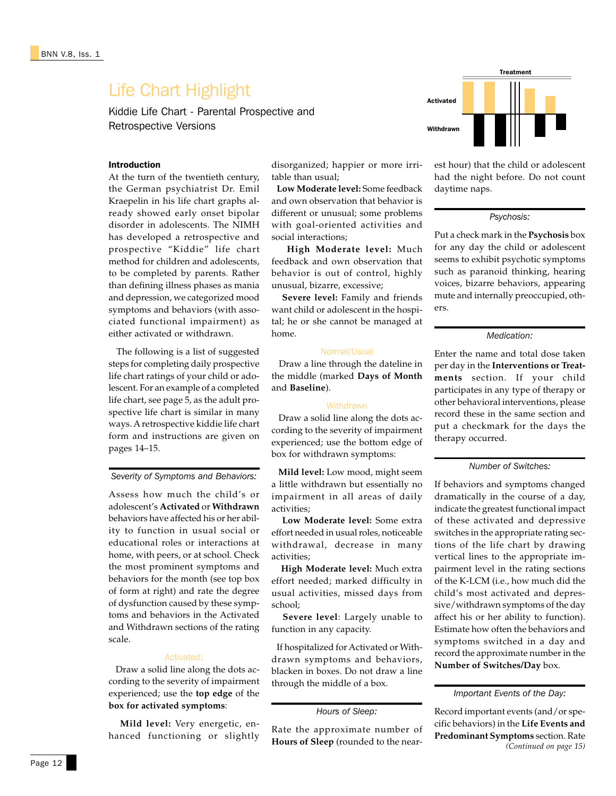## Life Chart Highlight

Kiddie Life Chart - Parental Prospective and Retrospective Versions

#### Introduction

At the turn of the twentieth century, the German psychiatrist Dr. Emil Kraepelin in his life chart graphs already showed early onset bipolar disorder in adolescents. The NIMH has developed a retrospective and prospective "Kiddie" life chart method for children and adolescents, to be completed by parents. Rather than defining illness phases as mania and depression, we categorized mood symptoms and behaviors (with associated functional impairment) as either activated or withdrawn.

 The following is a list of suggested steps for completing daily prospective life chart ratings of your child or adolescent. For an example of a completed life chart, see page 5, as the adult prospective life chart is similar in many ways. A retrospective kiddie life chart form and instructions are given on pages 14–15.

*Severity of Symptoms and Behaviors:*

Assess how much the child's or adolescent's **Activated** or **Withdrawn** behaviors have affected his or her ability to function in usual social or educational roles or interactions at home, with peers, or at school. Check the most prominent symptoms and behaviors for the month (see top box of form at right) and rate the degree of dysfunction caused by these symptoms and behaviors in the Activated and Withdrawn sections of the rating scale.

#### Activated:

 Draw a solid line along the dots according to the severity of impairment experienced; use the **top edge** of the **box for activated symptoms**:

 **Mild level:** Very energetic, enhanced functioning or slightly disorganized; happier or more irritable than usual;

 **Low Moderate level:** Some feedback and own observation that behavior is different or unusual; some problems with goal-oriented activities and social interactions;

 **High Moderate level:** Much feedback and own observation that behavior is out of control, highly unusual, bizarre, excessive;

 **Severe level:** Family and friends want child or adolescent in the hospital; he or she cannot be managed at home.

#### Normal/Usual

 Draw a line through the dateline in the middle (marked **Days of Month** and **Baseline**).

#### **Withdrawn**

 Draw a solid line along the dots according to the severity of impairment experienced; use the bottom edge of box for withdrawn symptoms:

 **Mild level:** Low mood, might seem a little withdrawn but essentially no impairment in all areas of daily activities;

 **Low Moderate level:** Some extra effort needed in usual roles, noticeable withdrawal, decrease in many activities;

 **High Moderate level:** Much extra effort needed; marked difficulty in usual activities, missed days from school;

 **Severe level**: Largely unable to function in any capacity.

 If hospitalized for Activated or Withdrawn symptoms and behaviors, blacken in boxes. Do not draw a line through the middle of a box.

Rate the approximate number of **Hours of Sleep** (rounded to the near-



est hour) that the child or adolescent had the night before. Do not count daytime naps.

#### *Psychosis:*

Put a check mark in the **Psychosis** box for any day the child or adolescent seems to exhibit psychotic symptoms such as paranoid thinking, hearing voices, bizarre behaviors, appearing mute and internally preoccupied, others.

#### *Medication:*

Enter the name and total dose taken per day in the **Interventions or Treatments** section. If your child participates in any type of therapy or other behavioral interventions, please record these in the same section and put a checkmark for the days the therapy occurred.

#### *Number of Switches:*

If behaviors and symptoms changed dramatically in the course of a day, indicate the greatest functional impact of these activated and depressive switches in the appropriate rating sections of the life chart by drawing vertical lines to the appropriate impairment level in the rating sections of the K-LCM (i.e., how much did the child's most activated and depressive/withdrawn symptoms of the day affect his or her ability to function). Estimate how often the behaviors and symptoms switched in a day and record the approximate number in the **Number of Switches/Day** box.

Record important events (and/or specific behaviors) in the **Life Events and Predominant Symptoms** section. Rate *(Continued on page 15)*

*Hours of Sleep:*

*Important Events of the Day:*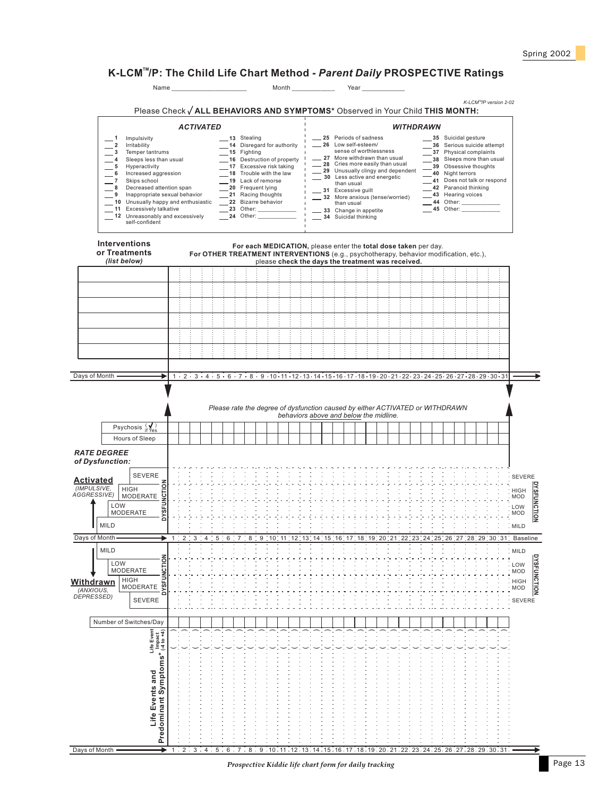## K-LCM™/P: The Child Life Chart Method - *Parent Daily* PROSPECTIVE Ratings

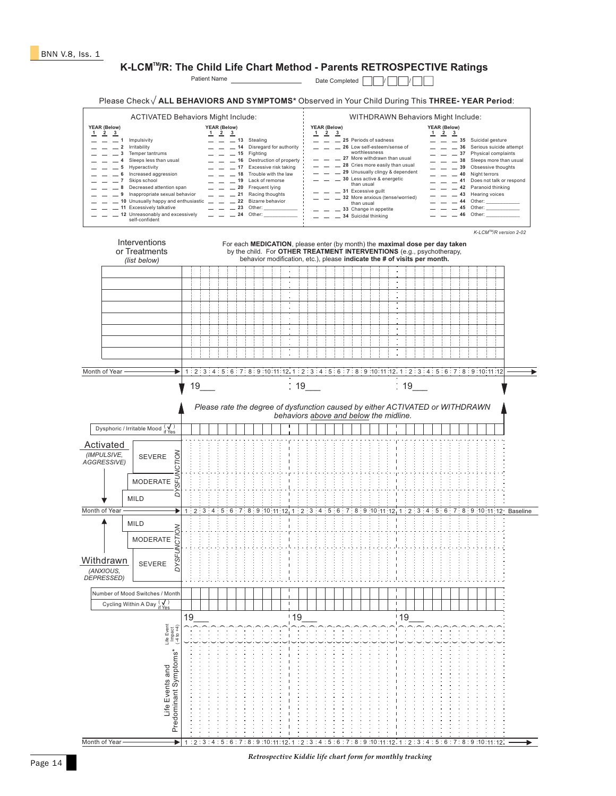## **K-LCM<sup>™</sup>/R: The Child Life Chart Method - Parents RETROSPECTIVE Ratings**

Patient Name Date Completed / /

Please Check V ALL BEHAVIORS AND SYMPTOMS\* Observed in Your Child During This THREE-YEAR Period:

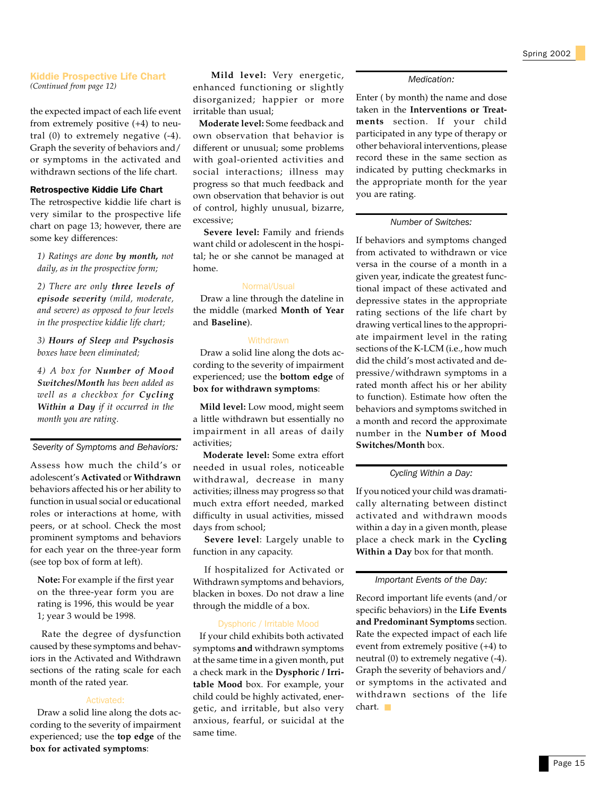#### Kiddie Prospective Life Chart *(Continued from page 12)*

the expected impact of each life event from extremely positive (+4) to neutral (0) to extremely negative (-4). Graph the severity of behaviors and/ or symptoms in the activated and withdrawn sections of the life chart.

#### Retrospective Kiddie Life Chart

The retrospective kiddie life chart is very similar to the prospective life chart on page 13; however, there are some key differences:

*1) Ratings are done by month, not daily, as in the prospective form;*

*2) There are only three levels of episode severity (mild, moderate, and severe) as opposed to four levels in the prospective kiddie life chart;*

*3) Hours of Sleep and Psychosis boxes have been eliminated;*

*4) A box for Number of Mood Switches/Month has been added as well as a checkbox for Cycling Within a Day if it occurred in the month you are rating.*

*Severity of Symptoms and Behaviors:*

Assess how much the child's or adolescent's **Activated** or **Withdrawn** behaviors affected his or her ability to function in usual social or educational roles or interactions at home, with peers, or at school. Check the most prominent symptoms and behaviors for each year on the three-year form (see top box of form at left).

**Note:** For example if the first year on the three-year form you are rating is 1996, this would be year 1; year 3 would be 1998.

 Rate the degree of dysfunction caused by these symptoms and behaviors in the Activated and Withdrawn sections of the rating scale for each month of the rated year.

#### Activated:

 Draw a solid line along the dots according to the severity of impairment experienced; use the **top edge** of the **box for activated symptoms**:

 **Mild level:** Very energetic, enhanced functioning or slightly disorganized; happier or more irritable than usual;

 **Moderate level:** Some feedback and own observation that behavior is different or unusual; some problems with goal-oriented activities and social interactions; illness may progress so that much feedback and own observation that behavior is out of control, highly unusual, bizarre, excessive;

 **Severe level:** Family and friends want child or adolescent in the hospital; he or she cannot be managed at home.

#### Normal/Usual

 Draw a line through the dateline in the middle (marked **Month of Year** and **Baseline**).

#### **Withdrawn**

 Draw a solid line along the dots according to the severity of impairment experienced; use the **bottom edge** of **box for withdrawn symptoms**:

 **Mild level:** Low mood, might seem a little withdrawn but essentially no impairment in all areas of daily activities;

 **Moderate level:** Some extra effort needed in usual roles, noticeable withdrawal, decrease in many activities; illness may progress so that much extra effort needed, marked difficulty in usual activities, missed days from school;

 **Severe level**: Largely unable to function in any capacity.

 If hospitalized for Activated or Withdrawn symptoms and behaviors, blacken in boxes. Do not draw a line through the middle of a box.

#### Dysphoric / Irritable Mood

 If your child exhibits both activated symptoms **and** withdrawn symptoms at the same time in a given month, put a check mark in the **Dysphoric / Irritable Mood** box. For example, your child could be highly activated, energetic, and irritable, but also very anxious, fearful, or suicidal at the same time.

#### *Medication:*

Enter ( by month) the name and dose taken in the **Interventions or Treatments** section. If your child participated in any type of therapy or other behavioral interventions, please record these in the same section as indicated by putting checkmarks in the appropriate month for the year you are rating.

#### *Number of Switches:*

If behaviors and symptoms changed from activated to withdrawn or vice versa in the course of a month in a given year, indicate the greatest functional impact of these activated and depressive states in the appropriate rating sections of the life chart by drawing vertical lines to the appropriate impairment level in the rating sections of the K-LCM (i.e., how much did the child's most activated and depressive/withdrawn symptoms in a rated month affect his or her ability to function). Estimate how often the behaviors and symptoms switched in a month and record the approximate number in the **Number of Mood Switches/Month** box.

#### *Cycling Within a Day:*

If you noticed your child was dramatically alternating between distinct activated and withdrawn moods within a day in a given month, please place a check mark in the **Cycling Within a Day** box for that month.

*Important Events of the Day:*

Record important life events (and/or specific behaviors) in the **Life Events and Predominant Symptoms** section. Rate the expected impact of each life event from extremely positive (+4) to neutral (0) to extremely negative (-4). Graph the severity of behaviors and/ or symptoms in the activated and withdrawn sections of the life chart. ■